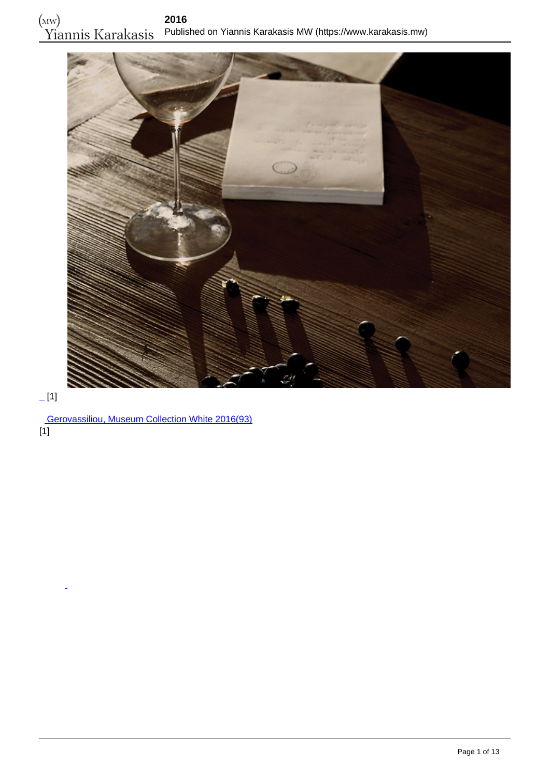

# $[1]$

 [Gerovassiliou, Museum Collection White 2016\(93\)](https://www.karakasis.mw/gerovassiliou-museum-collection-white-2016) [1]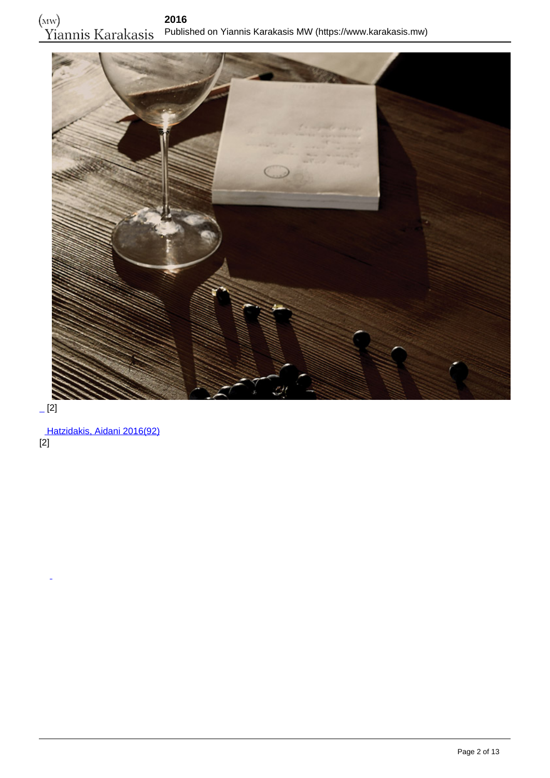

 $-$ [2]

 [Hatzidakis, Aidani 2016\(92\)](https://www.karakasis.mw/hatzidakis-aidani-2016) [2]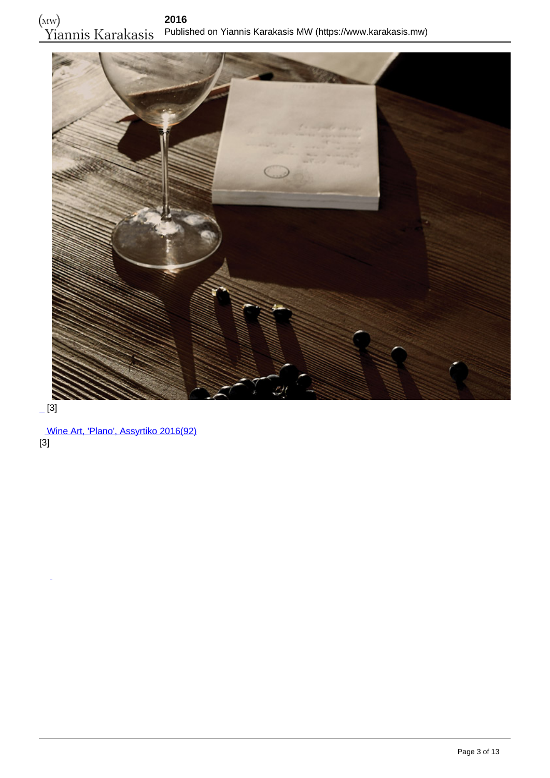

## $-[3]$

 [Wine Art, 'Plano', Assyrtiko 2016\(92\)](https://www.karakasis.mw/wine-art-plano-assyrtiko-2016) [3]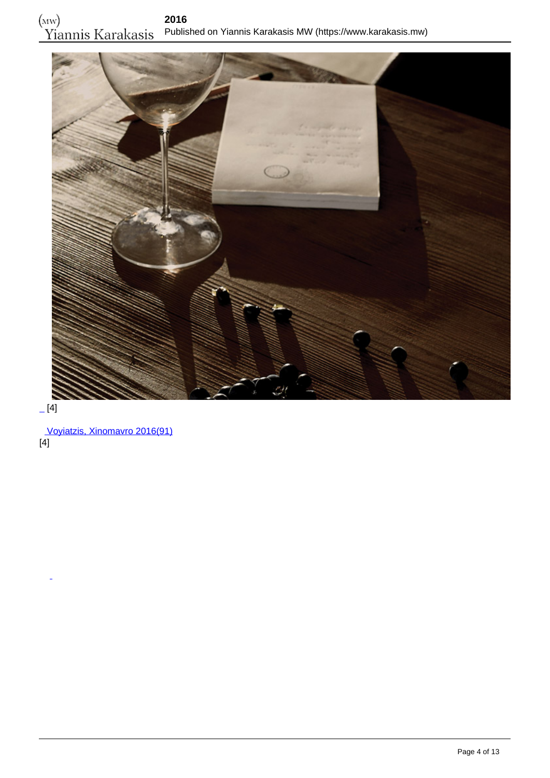

 $[4]$ 

 [Voyiatzis, Xinomavro 2016\(91\)](https://www.karakasis.mw/voyiatzis-xinomavro-2016) [4]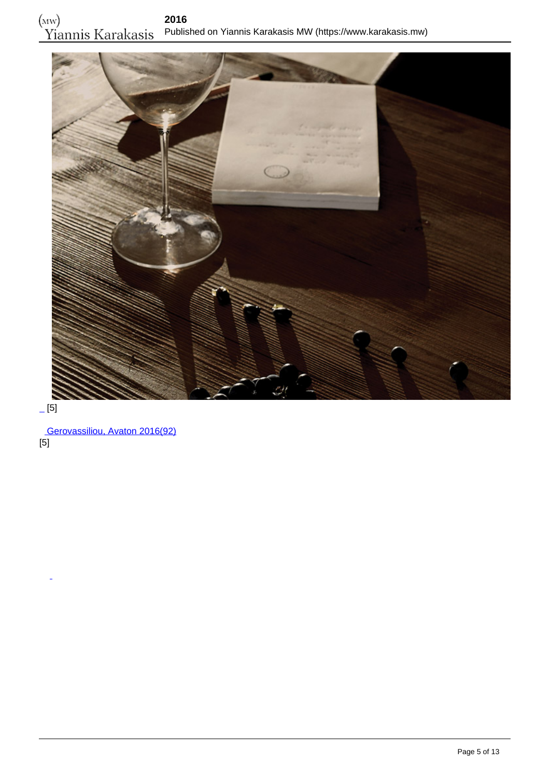

 $-[5]$ 

 [Gerovassiliou, Avaton 2016\(92\)](https://www.karakasis.mw/gerovassiliou-avaton-2016-0) [5]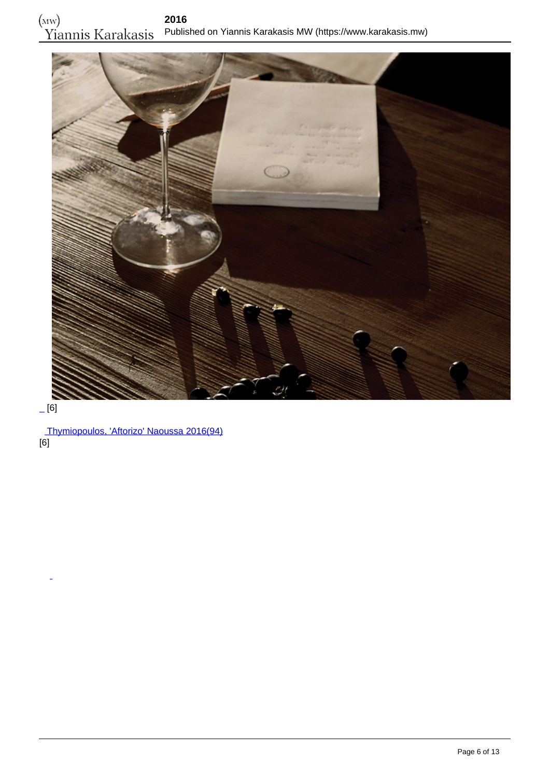

## $-[6]$

 [Thymiopoulos, 'Aftorizo' Naoussa 2016\(94\)](https://www.karakasis.mw/thymiopoulos-aftorizo-naoussa-2016) [6]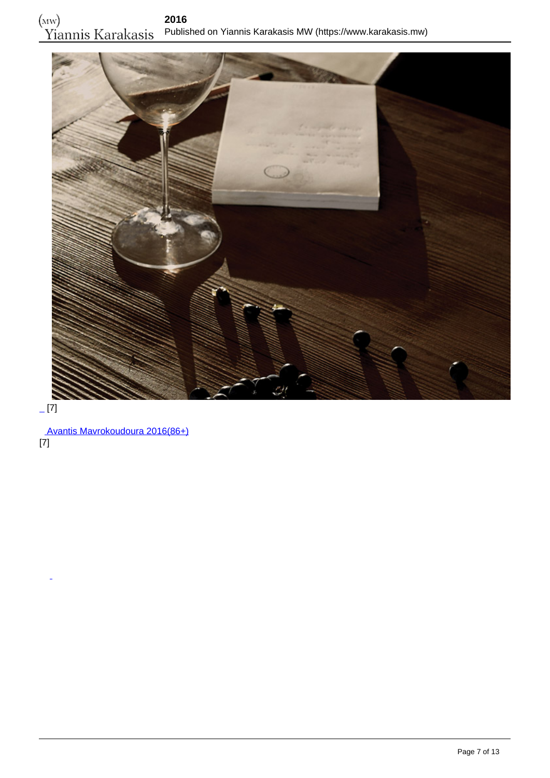

# $-[7]$

 [Avantis Mavrokoudoura 2016\(86+\)](https://www.karakasis.mw/avantis-estate-mavro-koudoura-2016) [7]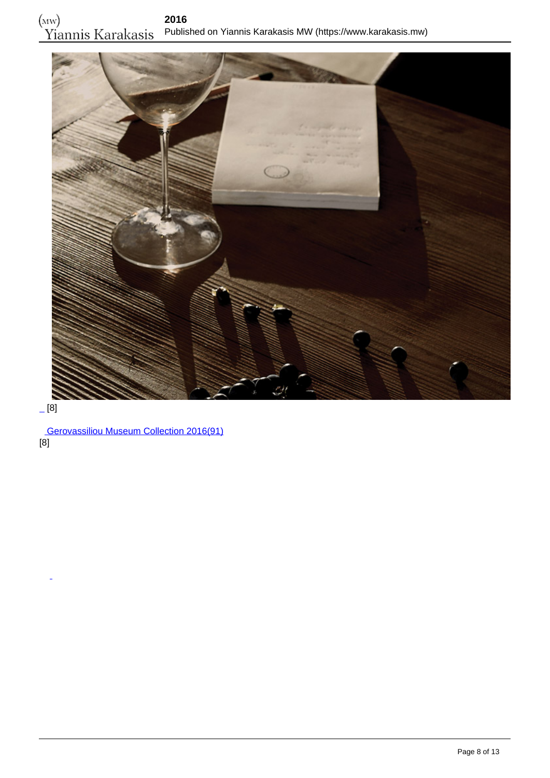

## $-[8]$

 [Gerovassiliou Museum Collection 2016\(91\)](https://www.karakasis.mw/ktima-gerovassiliou-museum-collection-2016) [8]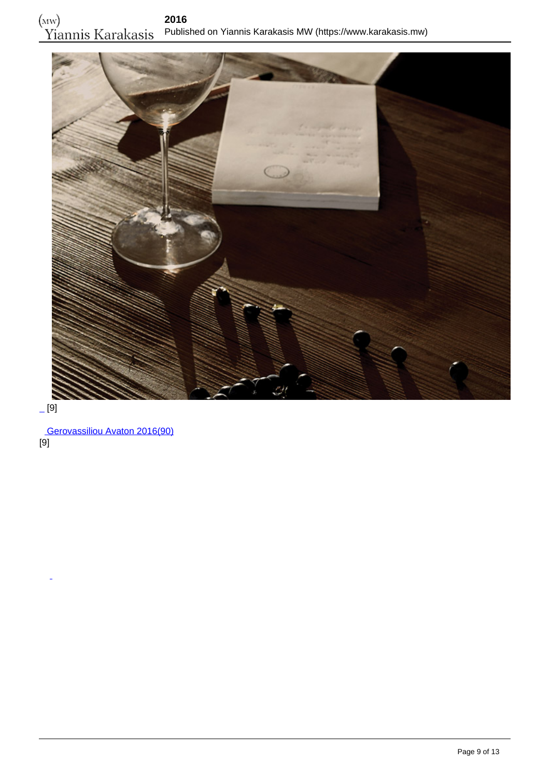

[9]

 [Gerovassiliou Avaton 2016\(90\)](https://www.karakasis.mw/ktima-gerovassiliou-avaton-2016) [9]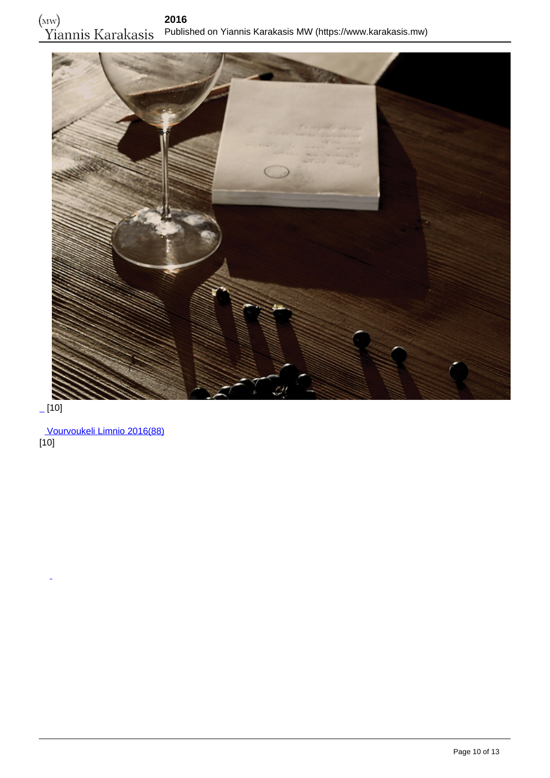

 $[10]$ 

 [Vourvoukeli Limnio 2016\(88\)](https://www.karakasis.mw/vourvoukeli-limnio-2016)  $[10]$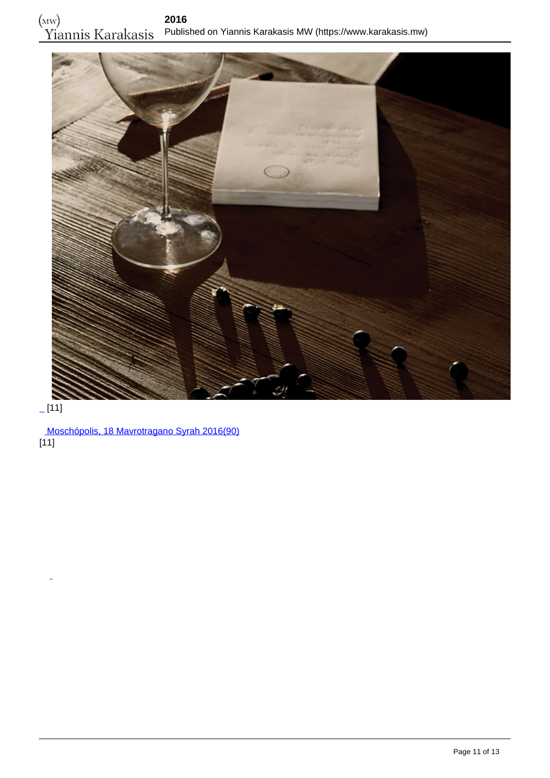

#### $[11]$

 [Moschópolis, 18 Mavrotragano Syrah 2016\(90\)](https://www.karakasis.mw/moschopolis-18-mavrotragano-syrah-2016)  $[11]$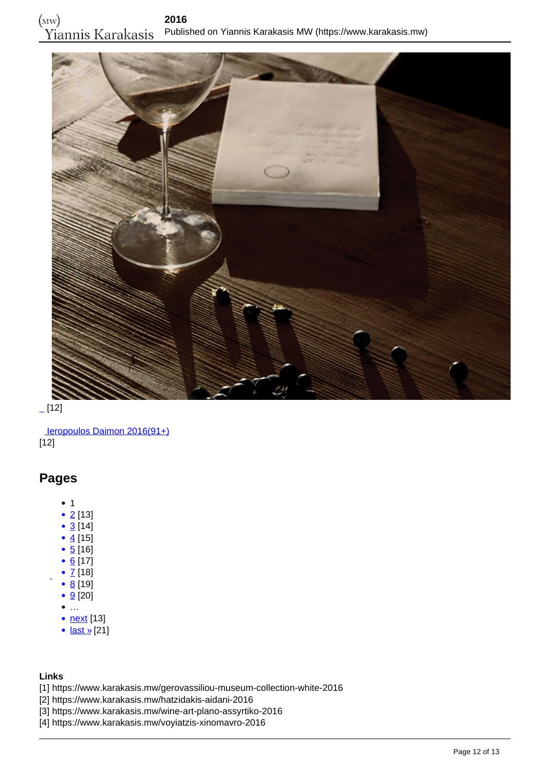

 $[12]$ 

 [Ieropoulos Daimon 2016\(91+\)](https://www.karakasis.mw/ieropoulos-daimon-2016-0) [12]

#### **Pages**

- $1$
- $2$  [13]
- $\bullet$  [3](https://www.karakasis.mw/2016?page=2) [14]
- $4 [15]$  $4 [15]$
- $\bullet$  [5](https://www.karakasis.mw/2016?page=4) [16]
- $6$  [17]
- $Z$  [18]  $\bullet$  [8](https://www.karakasis.mw/2016?page=7) [19]
- $\bullet$  [9](https://www.karakasis.mw/2016?page=8) [20]
- $\bullet$  ...
- <u>[next](https://www.karakasis.mw/2016?page=1)</u> [13]
- [last »](https://www.karakasis.mw/2016?page=14)[21]

#### **Links**

- [1] https://www.karakasis.mw/gerovassiliou-museum-collection-white-2016
- [2] https://www.karakasis.mw/hatzidakis-aidani-2016
- [3] https://www.karakasis.mw/wine-art-plano-assyrtiko-2016
- [4] https://www.karakasis.mw/voyiatzis-xinomavro-2016